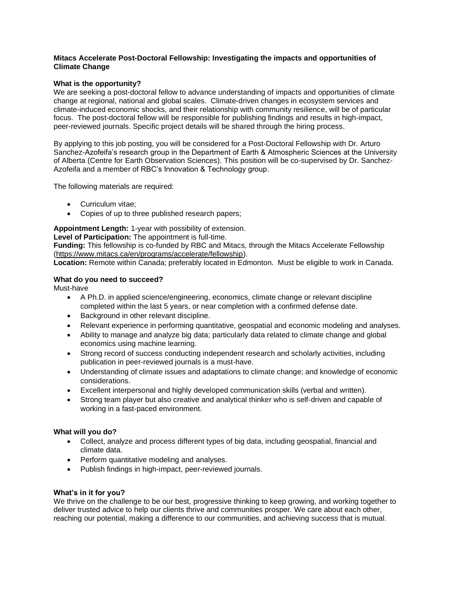### **Mitacs Accelerate Post-Doctoral Fellowship: Investigating the impacts and opportunities of Climate Change**

# **What is the opportunity?**

We are seeking a post-doctoral fellow to advance understanding of impacts and opportunities of climate change at regional, national and global scales. Climate-driven changes in ecosystem services and climate-induced economic shocks, and their relationship with community resilience, will be of particular focus. The post-doctoral fellow will be responsible for publishing findings and results in high-impact, peer-reviewed journals. Specific project details will be shared through the hiring process.

By applying to this job posting, you will be considered for a Post-Doctoral Fellowship with Dr. Arturo Sanchez-Azofeifa's research group in the Department of Earth & Atmospheric Sciences at the University of Alberta (Centre for Earth Observation Sciences). This position will be co-supervised by Dr. Sanchez-Azofeifa and a member of RBC's Innovation & Technology group.

The following materials are required:

- Curriculum vitae;
- Copies of up to three published research papers;

**Appointment Length:** 1-year with possibility of extension.

**Level of Participation:** The appointment is full-time.

**Funding:** This fellowship is co-funded by RBC and Mitacs, through the Mitacs Accelerate Fellowship [\(https://www.mitacs.ca/en/programs/accelerate/fellowship\)](https://www.mitacs.ca/en/programs/accelerate/fellowship).

**Location:** Remote within Canada; preferably located in Edmonton. Must be eligible to work in Canada.

# **What do you need to succeed?**

Must-have

- A Ph.D. in applied science/engineering, economics, climate change or relevant discipline completed within the last 5 years, or near completion with a confirmed defense date.
- Background in other relevant discipline.
- Relevant experience in performing quantitative, geospatial and economic modeling and analyses.
- Ability to manage and analyze big data; particularly data related to climate change and global economics using machine learning.
- Strong record of success conducting independent research and scholarly activities, including publication in peer-reviewed journals is a must-have.
- Understanding of climate issues and adaptations to climate change; and knowledge of economic considerations.
- Excellent interpersonal and highly developed communication skills (verbal and written).
- Strong team player but also creative and analytical thinker who is self-driven and capable of working in a fast-paced environment.

### **What will you do?**

- Collect, analyze and process different types of big data, including geospatial, financial and climate data.
- Perform quantitative modeling and analyses.
- Publish findings in high-impact, peer-reviewed journals.

### **What's in it for you?**

We thrive on the challenge to be our best, progressive thinking to keep growing, and working together to deliver trusted advice to help our clients thrive and communities prosper. We care about each other, reaching our potential, making a difference to our communities, and achieving success that is mutual.